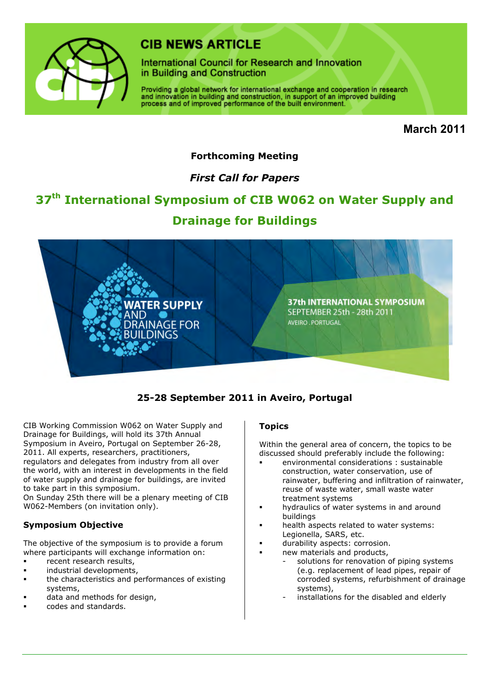

# **CIR NEWS ARTICLE**

International Council for Research and Innovation in Building and Construction

Providing a global network for international exchange and cooperation in research and innovation in building and construction, in support of an improved building process and of improved performance of the built environment.

**March 2011**

## **Forthcoming Meeting**

# *First Call for Papers*

# **37th International Symposium of CIB W062 on Water Supply and Drainage for Buildings**



## **25-28 September 2011 in Aveiro, Portugal**

CIB Working Commission W062 on Water Supply and Drainage for Buildings, will hold its 37th Annual Symposium in Aveiro, Portugal on September 26-28, 2011. All experts, researchers, practitioners, regulators and delegates from industry from all over the world, with an interest in developments in the field of water supply and drainage for buildings, are invited to take part in this symposium.

On Sunday 25th there will be a plenary meeting of CIB W062-Members (on invitation only).

### **Symposium Objective**

The objective of the symposium is to provide a forum where participants will exchange information on:

- recent research results,
- industrial developments,
- the characteristics and performances of existing systems,
- data and methods for design,
- codes and standards.

#### **Topics**

Within the general area of concern, the topics to be discussed should preferably include the following:

- environmental considerations : sustainable construction, water conservation, use of rainwater, buffering and infiltration of rainwater, reuse of waste water, small waste water treatment systems
- hydraulics of water systems in and around buildings
- health aspects related to water systems: Legionella, SARS, etc.
- durability aspects: corrosion.
- new materials and products,
	- solutions for renovation of piping systems (e.g. replacement of lead pipes, repair of corroded systems, refurbishment of drainage systems),
	- installations for the disabled and elderly